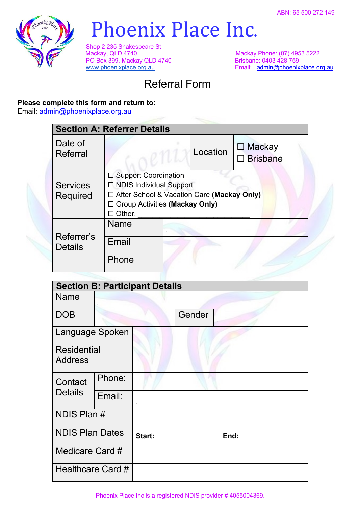

## *Phoenix Place Inc.*

Shop 2 235 Shakespeare St<br>Mackay, QLD 4740 PO Box 399, Mackay QLD 4740<br>www.phoenixplace.org.au

Mackay Phone: (07) 4953 5222<br>Brisbane: 0403 428 759 Email: admin@phoenixplace.org.au

## Referral Form

## **Please complete this form and return to:**

Email: admin@phoenixplace.org.au

| <b>Section A: Referrer Details</b> |                                                                                                                                                                         |          |                                  |
|------------------------------------|-------------------------------------------------------------------------------------------------------------------------------------------------------------------------|----------|----------------------------------|
| Date of<br>Referral                |                                                                                                                                                                         | Location | $\Box$ Mackay<br><b>Brisbane</b> |
| <b>Services</b><br>Required        | $\Box$ Support Coordination<br>$\Box$ NDIS Individual Support<br>□ After School & Vacation Care (Mackay Only)<br>$\Box$ Group Activities (Mackay Only)<br>$\Box$ Other: |          |                                  |
| Referrer's                         | <b>Name</b><br>Email                                                                                                                                                    |          |                                  |
| <b>Details</b>                     | Phone                                                                                                                                                                   |          |                                  |

| <b>Section B: Participant Details</b> |        |        |        |      |
|---------------------------------------|--------|--------|--------|------|
| <b>Name</b>                           |        |        |        |      |
| <b>DOB</b>                            |        |        | Gender |      |
| Language Spoken                       |        |        |        |      |
| <b>Residential</b><br><b>Address</b>  |        |        |        |      |
| Contact<br><b>Details</b>             | Phone: |        |        |      |
|                                       | Email: |        |        |      |
| NDIS Plan #                           |        |        |        |      |
| <b>NDIS Plan Dates</b>                |        | Start: |        | End: |
| Medicare Card #                       |        |        |        |      |
| Healthcare Card #                     |        |        |        |      |

Phoenix Place Inc is a registered NDIS provider # 4055004369.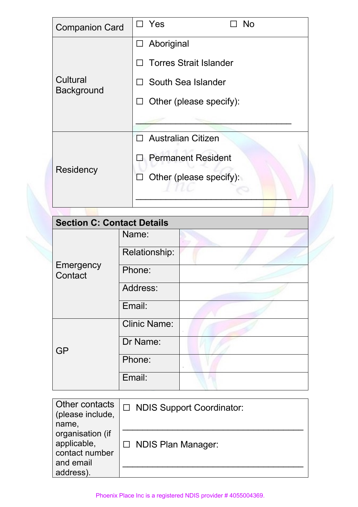| <b>Companion Card</b>  | Yes                               | <b>No</b> |  |
|------------------------|-----------------------------------|-----------|--|
|                        | $\Box$ Aboriginal                 |           |  |
|                        | <b>Torres Strait Islander</b>     |           |  |
| Cultural<br>Background | South Sea Islander                |           |  |
|                        | Other (please specify):<br>$\Box$ |           |  |
|                        |                                   |           |  |
|                        | $\Box$ Australian Citizen         |           |  |
|                        | <b>Permanent Resident</b>         |           |  |
| Residency              | Other (please specify):<br>П      |           |  |
|                        |                                   |           |  |
|                        |                                   |           |  |

|                      | <b>Section C: Contact Details</b> |  |
|----------------------|-----------------------------------|--|
|                      | Name:                             |  |
| Emergency<br>Contact | Relationship:                     |  |
|                      | Phone:                            |  |
|                      | Address:                          |  |
|                      | Email:                            |  |
|                      | <b>Clinic Name:</b>               |  |
| <b>GP</b>            | Dr Name:                          |  |
|                      | Phone:                            |  |
|                      | Email:                            |  |

| Other contacts<br>(please include,<br>name,                    | $\Box$ NDIS Support Coordinator: |
|----------------------------------------------------------------|----------------------------------|
| organisation (if<br>applicable,<br>contact number<br>and email | NDIS Plan Manager:<br>$\perp$    |
| address).                                                      |                                  |

Phoenix Place Inc is a registered NDIS provider # 4055004369.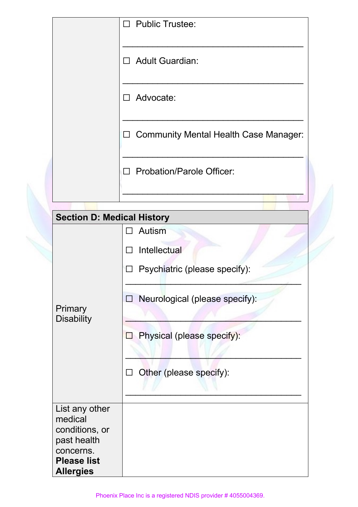|                                                                                               | $\Box$ Public Trustee:                                 |
|-----------------------------------------------------------------------------------------------|--------------------------------------------------------|
|                                                                                               | $\Box$ Adult Guardian:                                 |
|                                                                                               | Advocate:<br>$\Box$                                    |
|                                                                                               | <b>Community Mental Health Case Manager:</b><br>$\Box$ |
|                                                                                               | $\Box$ Probation/Parole Officer:                       |
|                                                                                               |                                                        |
|                                                                                               | <b>Section D: Medical History</b>                      |
|                                                                                               | $\Box$ Autism                                          |
|                                                                                               | Intellectual<br>$\Box$                                 |
| Primary<br><b>Disability</b>                                                                  | Psychiatric (please specify):                          |
|                                                                                               | Neurological (please specify):<br>$\Box$               |
|                                                                                               | Physical (please specify):<br>$\Box$                   |
|                                                                                               | Other (please specify):                                |
| List any other<br>medical<br>conditions, or<br>past health<br>concerns.<br><b>Please list</b> |                                                        |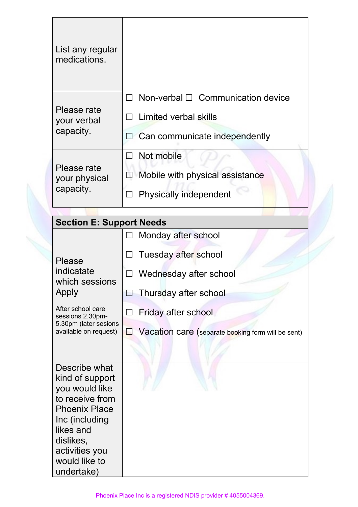| List any regular<br>medications.                                                                                                                                                           |                                                                                                     |
|--------------------------------------------------------------------------------------------------------------------------------------------------------------------------------------------|-----------------------------------------------------------------------------------------------------|
| Please rate<br>your verbal                                                                                                                                                                 | Non-verbal $\Box$ Communication device                                                              |
|                                                                                                                                                                                            | Limited verbal skills                                                                               |
| capacity.                                                                                                                                                                                  | Can communicate independently                                                                       |
|                                                                                                                                                                                            | Not mobile                                                                                          |
| Please rate<br>your physical                                                                                                                                                               | Mobile with physical assistance<br>$\mathcal{L}_{\mathcal{A}}$                                      |
| capacity.                                                                                                                                                                                  | <b>Physically independent</b>                                                                       |
| <b>Section E: Support Needs</b>                                                                                                                                                            |                                                                                                     |
|                                                                                                                                                                                            | Monday after school                                                                                 |
| <b>Please</b><br>indicatate<br>which sessions<br>Apply                                                                                                                                     | Tuesday after school<br>Wednesday after school<br>Thursday after school<br>$\overline{\phantom{a}}$ |
| After school care                                                                                                                                                                          | Friday after school<br>$\Box$                                                                       |
| sessions 2.30pm-<br>5.30pm (later sesions<br>available on request)                                                                                                                         | Vacation care (separate booking form will be sent)                                                  |
| Describe what<br>kind of support<br>you would like<br>to receive from<br><b>Phoenix Place</b><br>Inc (including<br>likes and<br>dislikes,<br>activities you<br>would like to<br>undertake) |                                                                                                     |